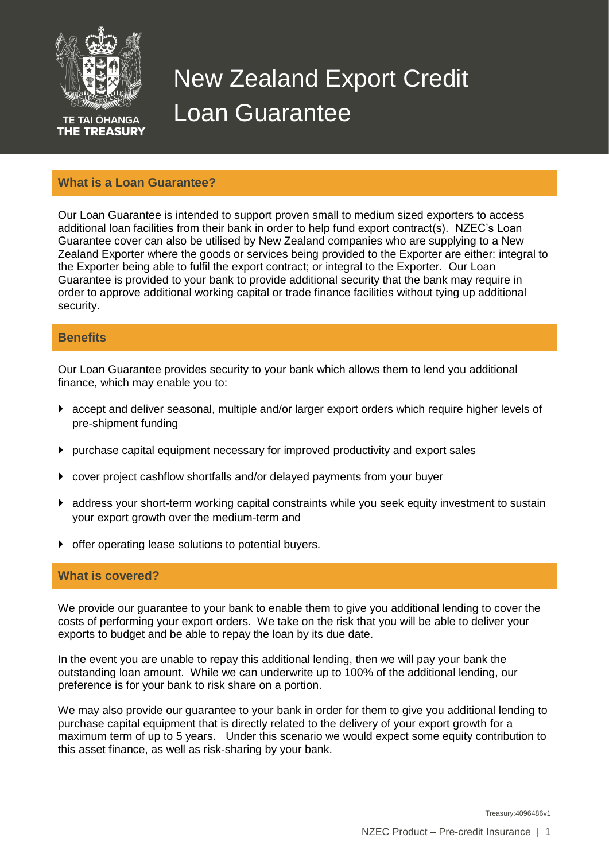

**TE TAI ŌHANGA THE TREASURY** 

# New Zealand Export Credit Loan Guarantee

## **What is a Loan Guarantee?**

Our Loan Guarantee is intended to support proven small to medium sized exporters to access additional loan facilities from their bank in order to help fund export contract(s). NZEC's Loan Guarantee cover can also be utilised by New Zealand companies who are supplying to a New Zealand Exporter where the goods or services being provided to the Exporter are either: integral to the Exporter being able to fulfil the export contract; or integral to the Exporter. Our Loan Guarantee is provided to your bank to provide additional security that the bank may require in order to approve additional working capital or trade finance facilities without tying up additional security.

## **Benefits**

Our Loan Guarantee provides security to your bank which allows them to lend you additional finance, which may enable you to:

- accept and deliver seasonal, multiple and/or larger export orders which require higher levels of pre-shipment funding
- $\blacktriangleright$  purchase capital equipment necessary for improved productivity and export sales
- cover project cashflow shortfalls and/or delayed payments from your buyer
- address your short-term working capital constraints while you seek equity investment to sustain your export growth over the medium-term and
- offer operating lease solutions to potential buyers.

## **What is covered?**

We provide our guarantee to your bank to enable them to give you additional lending to cover the costs of performing your export orders. We take on the risk that you will be able to deliver your exports to budget and be able to repay the loan by its due date.

In the event you are unable to repay this additional lending, then we will pay your bank the outstanding loan amount. While we can underwrite up to 100% of the additional lending, our preference is for your bank to risk share on a portion.

We may also provide our quarantee to your bank in order for them to give you additional lending to purchase capital equipment that is directly related to the delivery of your export growth for a maximum term of up to 5 years. Under this scenario we would expect some equity contribution to this asset finance, as well as risk-sharing by your bank.

Treasury:4096486v1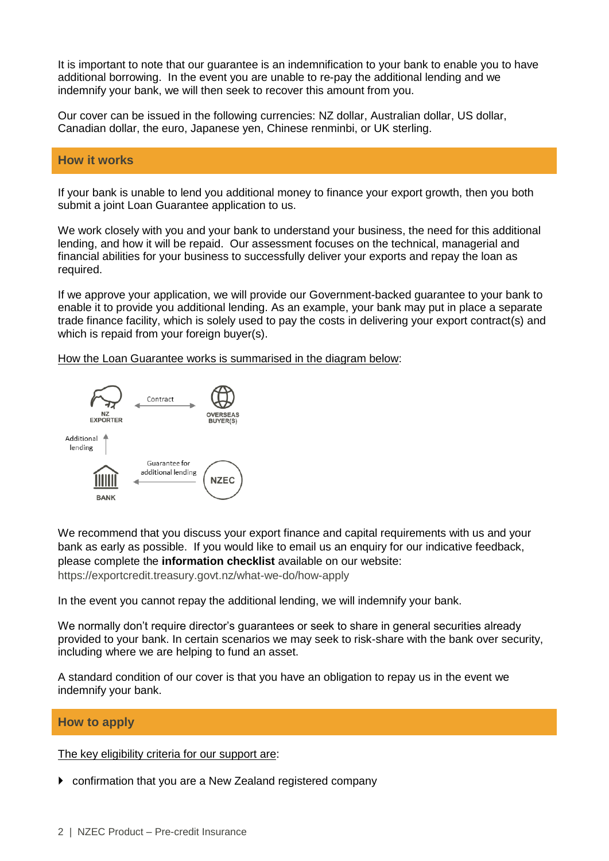It is important to note that our guarantee is an indemnification to your bank to enable you to have additional borrowing. In the event you are unable to re-pay the additional lending and we indemnify your bank, we will then seek to recover this amount from you.

Our cover can be issued in the following currencies: NZ dollar, Australian dollar, US dollar, Canadian dollar, the euro, Japanese yen, Chinese renminbi, or UK sterling.

#### **How it works**

If your bank is unable to lend you additional money to finance your export growth, then you both submit a joint Loan Guarantee application to us.

We work closely with you and your bank to understand your business, the need for this additional lending, and how it will be repaid. Our assessment focuses on the technical, managerial and financial abilities for your business to successfully deliver your exports and repay the loan as required.

If we approve your application, we will provide our Government-backed guarantee to your bank to enable it to provide you additional lending. As an example, your bank may put in place a separate trade finance facility, which is solely used to pay the costs in delivering your export contract(s) and which is repaid from your foreign buyer(s).

How the Loan Guarantee works is summarised in the diagram below:



We recommend that you discuss your export finance and capital requirements with us and your bank as early as possible. If you would like to email us an enquiry for our indicative feedback, please complete the **information checklist** available on our website: <https://exportcredit.treasury.govt.nz/what-we-do/how-apply>

In the event you cannot repay the additional lending, we will indemnify your bank.

We normally don't require director's guarantees or seek to share in general securities already provided to your bank. In certain scenarios we may seek to risk-share with the bank over security, including where we are helping to fund an asset.

A standard condition of our cover is that you have an obligation to repay us in the event we indemnify your bank.

#### **How to apply**

The key eligibility criteria for our support are:

confirmation that you are a New Zealand registered company